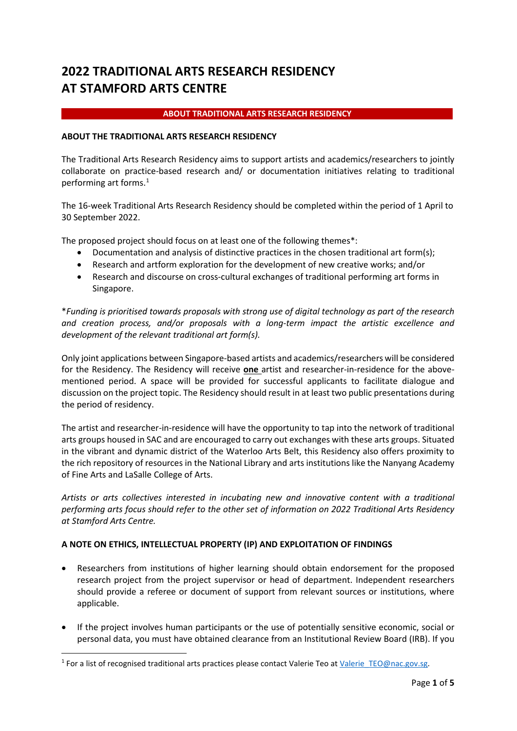# **2022 TRADITIONAL ARTS RESEARCH RESIDENCY AT STAMFORD ARTS CENTRE**

# **ABOUT TRADITIONAL ARTS RESEARCH RESIDENCY**

## **ABOUT THE TRADITIONAL ARTS RESEARCH RESIDENCY**

The Traditional Arts Research Residency aims to support artists and academics/researchers to jointly collaborate on practice-based research and/ or documentation initiatives relating to traditional performing art forms. [1](#page-0-0)

The 16-week Traditional Arts Research Residency should be completed within the period of 1 April to 30 September 2022.

The proposed project should focus on at least one of the following themes\*:

- Documentation and analysis of distinctive practices in the chosen traditional art form(s);
- Research and artform exploration for the development of new creative works; and/or
- Research and discourse on cross-cultural exchanges of traditional performing art forms in Singapore.

\**Funding is prioritised towards proposals with strong use of digital technology as part of the research and creation process, and/or proposals with a long-term impact the artistic excellence and development of the relevant traditional art form(s).* 

Only joint applications between Singapore-based artists and academics/researchers will be considered for the Residency. The Residency will receive **one** artist and researcher-in-residence for the abovementioned period. A space will be provided for successful applicants to facilitate dialogue and discussion on the project topic. The Residency should result in at least two public presentations during the period of residency.

The artist and researcher-in-residence will have the opportunity to tap into the network of traditional arts groups housed in SAC and are encouraged to carry out exchanges with these arts groups. Situated in the vibrant and dynamic district of the Waterloo Arts Belt, this Residency also offers proximity to the rich repository of resources in the National Library and arts institutions like the Nanyang Academy of Fine Arts and LaSalle College of Arts.

*Artists or arts collectives interested in incubating new and innovative content with a traditional performing arts focus should refer to the other set of information on 2022 Traditional Arts Residency at Stamford Arts Centre.*

## **A NOTE ON ETHICS, INTELLECTUAL PROPERTY (IP) AND EXPLOITATION OF FINDINGS**

- Researchers from institutions of higher learning should obtain endorsement for the proposed research project from the project supervisor or head of department. Independent researchers should provide a referee or document of support from relevant sources or institutions, where applicable.
- If the project involves human participants or the use of potentially sensitive economic, social or personal data, you must have obtained clearance from an Institutional Review Board (IRB). If you

<span id="page-0-0"></span><sup>&</sup>lt;sup>1</sup> For a list of recognised traditional arts practices please contact Valerie Teo a[t Valerie\\_TEO@nac.gov.sg.](mailto:Valerie_TEO@nac.gov.sg)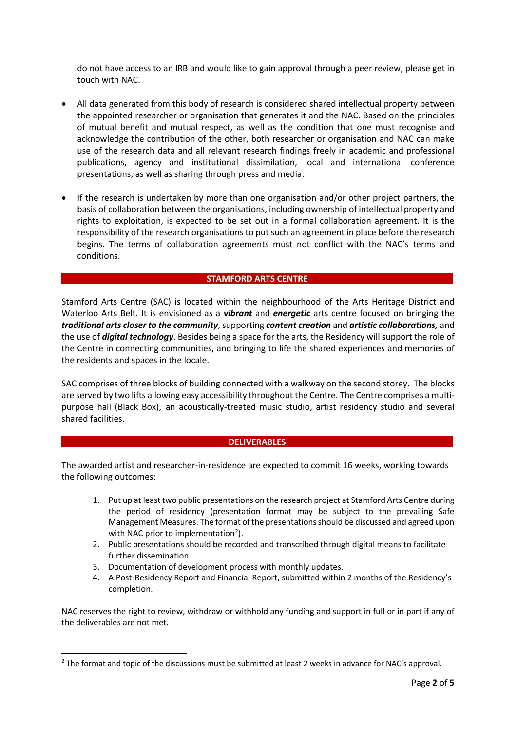do not have access to an IRB and would like to gain approval through a peer review, please get in touch with NAC.

- All data generated from this body of research is considered shared intellectual property between the appointed researcher or organisation that generates it and the NAC. Based on the principles of mutual benefit and mutual respect, as well as the condition that one must recognise and acknowledge the contribution of the other, both researcher or organisation and NAC can make use of the research data and all relevant research findings freely in academic and professional publications, agency and institutional dissimilation, local and international conference presentations, as well as sharing through press and media.
- If the research is undertaken by more than one organisation and/or other project partners, the basis of collaboration between the organisations, including ownership of intellectual property and rights to exploitation, is expected to be set out in a formal collaboration agreement. It is the responsibility of the research organisations to put such an agreement in place before the research begins. The terms of collaboration agreements must not conflict with the NAC's terms and conditions.

#### **STAMFORD ARTS CENTRE**

Stamford Arts Centre (SAC) is located within the neighbourhood of the Arts Heritage District and Waterloo Arts Belt. It is envisioned as a *vibrant* and *energetic* arts centre focused on bringing the *traditional arts closer to the community*, supporting *content creation* and *artistic collaborations,* and the use of *digital technology*. Besides being a space for the arts, the Residency will support the role of the Centre in connecting communities, and bringing to life the shared experiences and memories of the residents and spaces in the locale.

SAC comprises of three blocks of building connected with a walkway on the second storey. The blocks are served by two lifts allowing easy accessibility throughout the Centre. The Centre comprises a multipurpose hall (Black Box), an acoustically-treated music studio, artist residency studio and several shared facilities.

#### **DELIVERABLES**

The awarded artist and researcher-in-residence are expected to commit 16 weeks, working towards the following outcomes:

- 1. Put up at least two public presentations on the research project at Stamford Arts Centre during the period of residency (presentation format may be subject to the prevailing Safe Management Measures. The format of the presentations should be discussed and agreed upon with NAC prior to implementation<sup>[2](#page-1-0)</sup>).
- 2. Public presentations should be recorded and transcribed through digital means to facilitate further dissemination.
- 3. Documentation of development process with monthly updates.
- 4. A Post-Residency Report and Financial Report, submitted within 2 months of the Residency's completion.

NAC reserves the right to review, withdraw or withhold any funding and support in full or in part if any of the deliverables are not met.

<span id="page-1-0"></span><sup>&</sup>lt;sup>2</sup> The format and topic of the discussions must be submitted at least 2 weeks in advance for NAC's approval.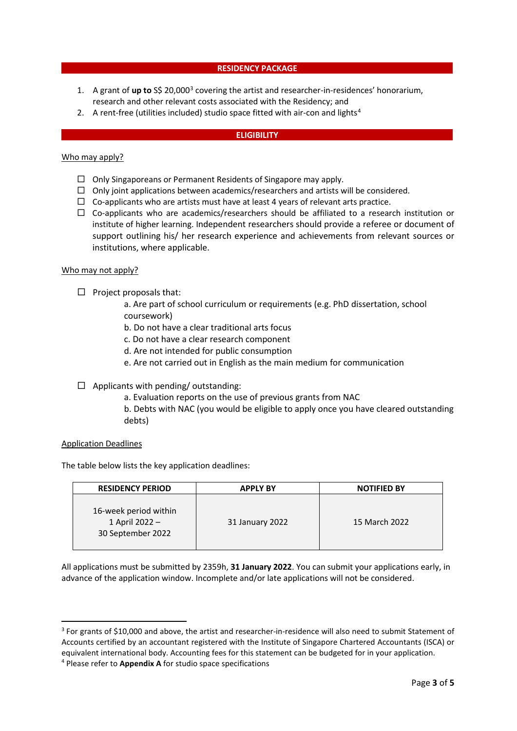#### **RESIDENCY PACKAGE**

- 1. A grant of **up to** S\$ 20,000[3](#page-2-0) covering the artist and researcher-in-residences' honorarium, research and other relevant costs associated with the Residency; and
- 2. A rent-free (utilities included) studio space fitted with air-con and lights<sup>[4](#page-2-1)</sup>

#### **ELIGIBILITY**

#### Who may apply?

- $\Box$  Only Singaporeans or Permanent Residents of Singapore may apply.
- $\Box$  Only joint applications between academics/researchers and artists will be considered.
- $\Box$  Co-applicants who are artists must have at least 4 years of relevant arts practice.
- $\Box$  Co-applicants who are academics/researchers should be affiliated to a research institution or institute of higher learning. Independent researchers should provide a referee or document of support outlining his/ her research experience and achievements from relevant sources or institutions, where applicable.

#### Who may not apply?

 $\Box$  Project proposals that:

a. Are part of school curriculum or requirements (e.g. PhD dissertation, school coursework)

b. Do not have a clear traditional arts focus

c. Do not have a clear research component

- d. Are not intended for public consumption
- e. Are not carried out in English as the main medium for communication
- $\Box$  Applicants with pending/ outstanding:
	- a. Evaluation reports on the use of previous grants from NAC
	- b. Debts with NAC (you would be eligible to apply once you have cleared outstanding debts)

#### Application Deadlines

The table below lists the key application deadlines:

| <b>RESIDENCY PERIOD</b>                                      | <b>APPLY BY</b> | <b>NOTIFIED BY</b> |
|--------------------------------------------------------------|-----------------|--------------------|
| 16-week period within<br>1 April 2022 -<br>30 September 2022 | 31 January 2022 | 15 March 2022      |

All applications must be submitted by 2359h, **31 January 2022**. You can submit your applications early, in advance of the application window. Incomplete and/or late applications will not be considered.

<span id="page-2-1"></span><span id="page-2-0"></span><sup>&</sup>lt;sup>3</sup> For grants of \$10,000 and above, the artist and researcher-in-residence will also need to submit Statement of Accounts certified by an accountant registered with the Institute of Singapore Chartered Accountants (ISCA) or equivalent international body. Accounting fees for this statement can be budgeted for in your application. <sup>4</sup> Please refer to **Appendix A** for studio space specifications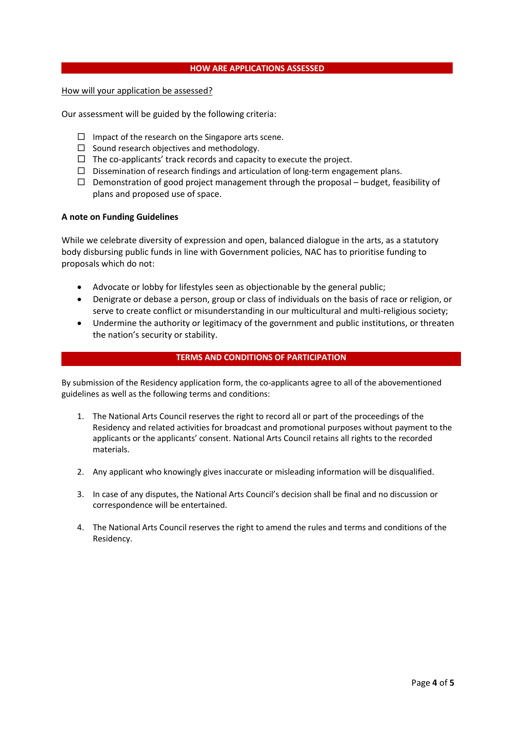#### **HOW ARE APPLICATIONS ASSESSED**

#### How will your application be assessed?

Our assessment will be guided by the following criteria:

- $\Box$  Impact of the research on the Singapore arts scene.
- $\square$  Sound research objectives and methodology.
- $\Box$  The co-applicants' track records and capacity to execute the project.
- $\square$  Dissemination of research findings and articulation of long-term engagement plans.
- $\Box$  Demonstration of good project management through the proposal budget, feasibility of plans and proposed use of space.

#### **A note on Funding Guidelines**

While we celebrate diversity of expression and open, balanced dialogue in the arts, as a statutory body disbursing public funds in line with Government policies, NAC has to prioritise funding to proposals which do not:

- Advocate or lobby for lifestyles seen as objectionable by the general public;
- Denigrate or debase a person, group or class of individuals on the basis of race or religion, or serve to create conflict or misunderstanding in our multicultural and multi-religious society;
- Undermine the authority or legitimacy of the government and public institutions, or threaten the nation's security or stability.

#### **TERMS AND CONDITIONS OF PARTICIPATION**

By submission of the Residency application form, the co-applicants agree to all of the abovementioned guidelines as well as the following terms and conditions:

- 1. The National Arts Council reserves the right to record all or part of the proceedings of the Residency and related activities for broadcast and promotional purposes without payment to the applicants or the applicants' consent. National Arts Council retains all rights to the recorded materials.
- 2. Any applicant who knowingly gives inaccurate or misleading information will be disqualified.
- 3. In case of any disputes, the National Arts Council's decision shall be final and no discussion or correspondence will be entertained.
- 4. The National Arts Council reserves the right to amend the rules and terms and conditions of the Residency.